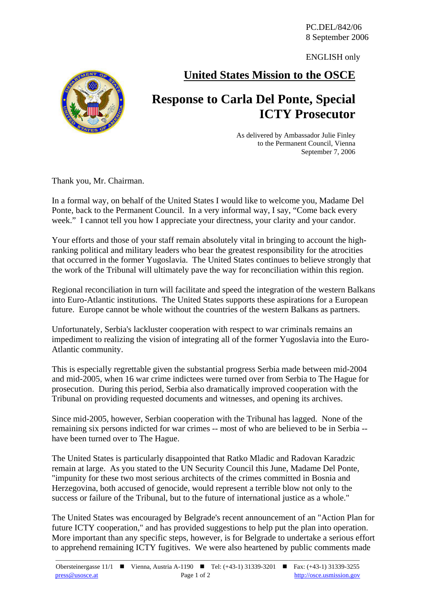PC.DEL/842/06 8 September 2006

ENGLISH only

## **United States Mission to the OSCE**

## **Response to Carla Del Ponte, Special ICTY Prosecutor**

As delivered by Ambassador Julie Finley to the Permanent Council, Vienna September 7, 2006

Thank you, Mr. Chairman.

In a formal way, on behalf of the United States I would like to welcome you, Madame Del Ponte, back to the Permanent Council. In a very informal way, I say, "Come back every week." I cannot tell you how I appreciate your directness, your clarity and your candor.

Your efforts and those of your staff remain absolutely vital in bringing to account the highranking political and military leaders who bear the greatest responsibility for the atrocities that occurred in the former Yugoslavia. The United States continues to believe strongly that the work of the Tribunal will ultimately pave the way for reconciliation within this region.

Regional reconciliation in turn will facilitate and speed the integration of the western Balkans into Euro-Atlantic institutions. The United States supports these aspirations for a European future. Europe cannot be whole without the countries of the western Balkans as partners.

Unfortunately, Serbia's lackluster cooperation with respect to war criminals remains an impediment to realizing the vision of integrating all of the former Yugoslavia into the Euro-Atlantic community.

This is especially regrettable given the substantial progress Serbia made between mid-2004 and mid-2005, when 16 war crime indictees were turned over from Serbia to The Hague for prosecution. During this period, Serbia also dramatically improved cooperation with the Tribunal on providing requested documents and witnesses, and opening its archives.

Since mid-2005, however, Serbian cooperation with the Tribunal has lagged. None of the remaining six persons indicted for war crimes -- most of who are believed to be in Serbia - have been turned over to The Hague.

The United States is particularly disappointed that Ratko Mladic and Radovan Karadzic remain at large. As you stated to the UN Security Council this June, Madame Del Ponte, "impunity for these two most serious architects of the crimes committed in Bosnia and Herzegovina, both accused of genocide, would represent a terrible blow not only to the success or failure of the Tribunal, but to the future of international justice as a whole."

The United States was encouraged by Belgrade's recent announcement of an "Action Plan for future ICTY cooperation," and has provided suggestions to help put the plan into operation. More important than any specific steps, however, is for Belgrade to undertake a serious effort to apprehend remaining ICTY fugitives. We were also heartened by public comments made